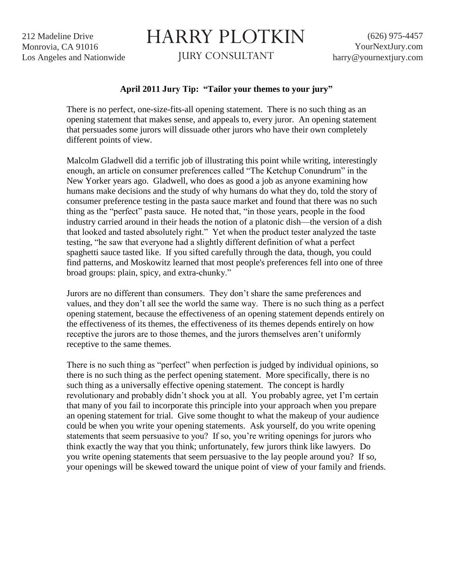212 Madeline Drive Monrovia, CA 91016 Los Angeles and Nationwide

## HARRY PLOTKIN

JURY CONSULTANT

## **April 2011 Jury Tip: "Tailor your themes to your jury"**

There is no perfect, one-size-fits-all opening statement. There is no such thing as an opening statement that makes sense, and appeals to, every juror. An opening statement that persuades some jurors will dissuade other jurors who have their own completely different points of view.

Malcolm Gladwell did a terrific job of illustrating this point while writing, interestingly enough, an article on consumer preferences called "The Ketchup Conundrum" in the New Yorker years ago. Gladwell, who does as good a job as anyone examining how humans make decisions and the study of why humans do what they do, told the story of consumer preference testing in the pasta sauce market and found that there was no such thing as the "perfect" pasta sauce. He noted that, "in those years, people in the food industry carried around in their heads the notion of a platonic dish—the version of a dish that looked and tasted absolutely right." Yet when the product tester analyzed the taste testing, "he saw that everyone had a slightly different definition of what a perfect spaghetti sauce tasted like. If you sifted carefully through the data, though, you could find patterns, and Moskowitz learned that most people's preferences fell into one of three broad groups: plain, spicy, and extra-chunky."

Jurors are no different than consumers. They don't share the same preferences and values, and they don't all see the world the same way. There is no such thing as a perfect opening statement, because the effectiveness of an opening statement depends entirely on the effectiveness of its themes, the effectiveness of its themes depends entirely on how receptive the jurors are to those themes, and the jurors themselves aren't uniformly receptive to the same themes.

There is no such thing as "perfect" when perfection is judged by individual opinions, so there is no such thing as the perfect opening statement. More specifically, there is no such thing as a universally effective opening statement. The concept is hardly revolutionary and probably didn't shock you at all. You probably agree, yet I'm certain that many of you fail to incorporate this principle into your approach when you prepare an opening statement for trial. Give some thought to what the makeup of your audience could be when you write your opening statements. Ask yourself, do you write opening statements that seem persuasive to you? If so, you're writing openings for jurors who think exactly the way that you think; unfortunately, few jurors think like lawyers. Do you write opening statements that seem persuasive to the lay people around you? If so, your openings will be skewed toward the unique point of view of your family and friends.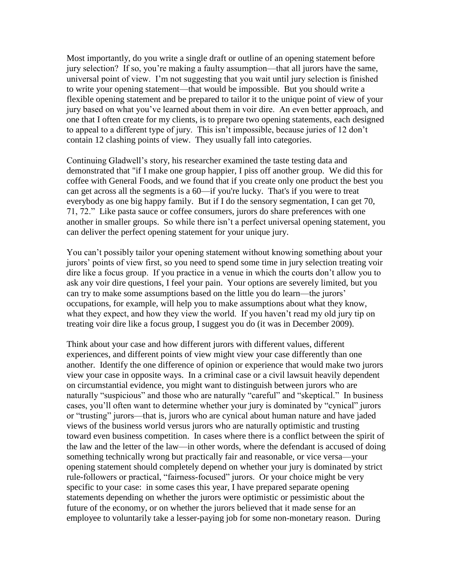Most importantly, do you write a single draft or outline of an opening statement before jury selection? If so, you're making a faulty assumption—that all jurors have the same, universal point of view. I'm not suggesting that you wait until jury selection is finished to write your opening statement—that would be impossible. But you should write a flexible opening statement and be prepared to tailor it to the unique point of view of your jury based on what you've learned about them in voir dire. An even better approach, and one that I often create for my clients, is to prepare two opening statements, each designed to appeal to a different type of jury. This isn't impossible, because juries of 12 don't contain 12 clashing points of view. They usually fall into categories.

Continuing Gladwell's story, his researcher examined the taste testing data and demonstrated that "if I make one group happier, I piss off another group. We did this for coffee with General Foods, and we found that if you create only one product the best you can get across all the segments is a 60—if you're lucky. That's if you were to treat everybody as one big happy family. But if I do the sensory segmentation, I can get 70, 71, 72." Like pasta sauce or coffee consumers, jurors do share preferences with one another in smaller groups. So while there isn't a perfect universal opening statement, you can deliver the perfect opening statement for your unique jury.

You can't possibly tailor your opening statement without knowing something about your jurors' points of view first, so you need to spend some time in jury selection treating voir dire like a focus group. If you practice in a venue in which the courts don't allow you to ask any voir dire questions, I feel your pain. Your options are severely limited, but you can try to make some assumptions based on the little you do learn—the jurors' occupations, for example, will help you to make assumptions about what they know, what they expect, and how they view the world. If you haven't read my old jury tip on treating voir dire like a focus group, I suggest you do (it was in December 2009).

Think about your case and how different jurors with different values, different experiences, and different points of view might view your case differently than one another. Identify the one difference of opinion or experience that would make two jurors view your case in opposite ways. In a criminal case or a civil lawsuit heavily dependent on circumstantial evidence, you might want to distinguish between jurors who are naturally "suspicious" and those who are naturally "careful" and "skeptical." In business cases, you'll often want to determine whether your jury is dominated by "cynical" jurors or "trusting" jurors—that is, jurors who are cynical about human nature and have jaded views of the business world versus jurors who are naturally optimistic and trusting toward even business competition. In cases where there is a conflict between the spirit of the law and the letter of the law—in other words, where the defendant is accused of doing something technically wrong but practically fair and reasonable, or vice versa—your opening statement should completely depend on whether your jury is dominated by strict rule-followers or practical, "fairness-focused" jurors. Or your choice might be very specific to your case: in some cases this year, I have prepared separate opening statements depending on whether the jurors were optimistic or pessimistic about the future of the economy, or on whether the jurors believed that it made sense for an employee to voluntarily take a lesser-paying job for some non-monetary reason. During